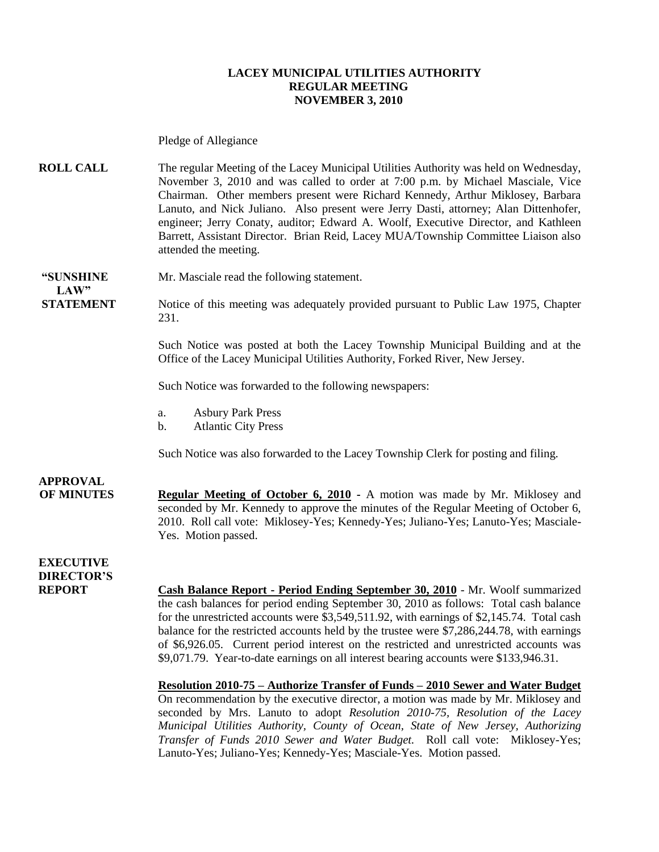#### **LACEY MUNICIPAL UTILITIES AUTHORITY REGULAR MEETING NOVEMBER 3, 2010**

Pledge of Allegiance

**ROLL CALL** The regular Meeting of the Lacey Municipal Utilities Authority was held on Wednesday, November 3, 2010 and was called to order at 7:00 p.m. by Michael Masciale, Vice Chairman. Other members present were Richard Kennedy, Arthur Miklosey, Barbara Lanuto, and Nick Juliano. Also present were Jerry Dasti, attorney; Alan Dittenhofer, engineer; Jerry Conaty, auditor; Edward A. Woolf, Executive Director, and Kathleen Barrett, Assistant Director. Brian Reid, Lacey MUA/Township Committee Liaison also attended the meeting.

**LAW"** 

**"SUNSHINE** Mr. Masciale read the following statement.

**STATEMENT** Notice of this meeting was adequately provided pursuant to Public Law 1975, Chapter 231.

> Such Notice was posted at both the Lacey Township Municipal Building and at the Office of the Lacey Municipal Utilities Authority, Forked River, New Jersey.

Such Notice was forwarded to the following newspapers:

- a. Asbury Park Press
- b. Atlantic City Press

Such Notice was also forwarded to the Lacey Township Clerk for posting and filing.

### **APPROVAL**

**OF MINUTES Regular Meeting of October 6, 2010 -** A motion was made by Mr. Miklosey and seconded by Mr. Kennedy to approve the minutes of the Regular Meeting of October 6, 2010. Roll call vote: Miklosey-Yes; Kennedy-Yes; Juliano-Yes; Lanuto-Yes; Masciale-Yes. Motion passed.

**EXECUTIVE DIRECTOR'S**

**REPORT Cash Balance Report - Period Ending September 30, 2010** - Mr. Woolf summarized the cash balances for period ending September 30, 2010 as follows: Total cash balance for the unrestricted accounts were \$3,549,511.92, with earnings of \$2,145.74. Total cash balance for the restricted accounts held by the trustee were \$7,286,244.78, with earnings of \$6,926.05. Current period interest on the restricted and unrestricted accounts was \$9,071.79. Year-to-date earnings on all interest bearing accounts were \$133,946.31.

> **Resolution 2010-75 – Authorize Transfer of Funds – 2010 Sewer and Water Budget** On recommendation by the executive director, a motion was made by Mr. Miklosey and seconded by Mrs. Lanuto to adopt *Resolution 2010-75, Resolution of the Lacey Municipal Utilities Authority, County of Ocean, State of New Jersey, Authorizing Transfer of Funds 2010 Sewer and Water Budget.* Roll call vote: Miklosey-Yes; Lanuto-Yes; Juliano-Yes; Kennedy-Yes; Masciale-Yes. Motion passed.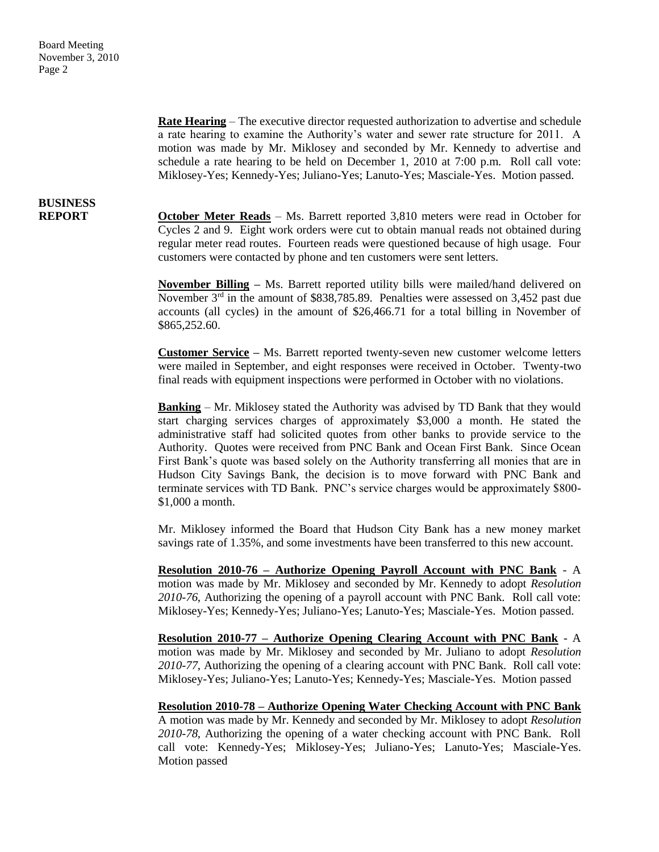> **Rate Hearing** – The executive director requested authorization to advertise and schedule a rate hearing to examine the Authority's water and sewer rate structure for 2011. A motion was made by Mr. Miklosey and seconded by Mr. Kennedy to advertise and schedule a rate hearing to be held on December 1, 2010 at 7:00 p.m. Roll call vote: Miklosey-Yes; Kennedy-Yes; Juliano-Yes; Lanuto-Yes; Masciale-Yes. Motion passed.

# **BUSINESS**

**REPORT October Meter Reads** – Ms. Barrett reported 3,810 meters were read in October for Cycles 2 and 9. Eight work orders were cut to obtain manual reads not obtained during regular meter read routes. Fourteen reads were questioned because of high usage. Four customers were contacted by phone and ten customers were sent letters.

> **November Billing –** Ms. Barrett reported utility bills were mailed/hand delivered on November  $3<sup>rd</sup>$  in the amount of \$838,785.89. Penalties were assessed on 3,452 past due accounts (all cycles) in the amount of \$26,466.71 for a total billing in November of \$865,252.60.

> **Customer Service –** Ms. Barrett reported twenty-seven new customer welcome letters were mailed in September, and eight responses were received in October. Twenty-two final reads with equipment inspections were performed in October with no violations.

> **Banking** – Mr. Miklosey stated the Authority was advised by TD Bank that they would start charging services charges of approximately \$3,000 a month. He stated the administrative staff had solicited quotes from other banks to provide service to the Authority. Quotes were received from PNC Bank and Ocean First Bank. Since Ocean First Bank's quote was based solely on the Authority transferring all monies that are in Hudson City Savings Bank, the decision is to move forward with PNC Bank and terminate services with TD Bank. PNC's service charges would be approximately \$800- \$1,000 a month.

> Mr. Miklosey informed the Board that Hudson City Bank has a new money market savings rate of 1.35%, and some investments have been transferred to this new account.

> **Resolution 2010-76 – Authorize Opening Payroll Account with PNC Bank** - A motion was made by Mr. Miklosey and seconded by Mr. Kennedy to adopt *Resolution 2010-76*, Authorizing the opening of a payroll account with PNC Bank. Roll call vote: Miklosey-Yes; Kennedy-Yes; Juliano-Yes; Lanuto-Yes; Masciale-Yes. Motion passed.

> **Resolution 2010-77 – Authorize Opening Clearing Account with PNC Bank** - A motion was made by Mr. Miklosey and seconded by Mr. Juliano to adopt *Resolution 2010-77*, Authorizing the opening of a clearing account with PNC Bank. Roll call vote: Miklosey-Yes; Juliano-Yes; Lanuto-Yes; Kennedy-Yes; Masciale-Yes. Motion passed

> **Resolution 2010-78 – Authorize Opening Water Checking Account with PNC Bank** A motion was made by Mr. Kennedy and seconded by Mr. Miklosey to adopt *Resolution 2010-78*, Authorizing the opening of a water checking account with PNC Bank. Roll call vote: Kennedy-Yes; Miklosey-Yes; Juliano-Yes; Lanuto-Yes; Masciale-Yes. Motion passed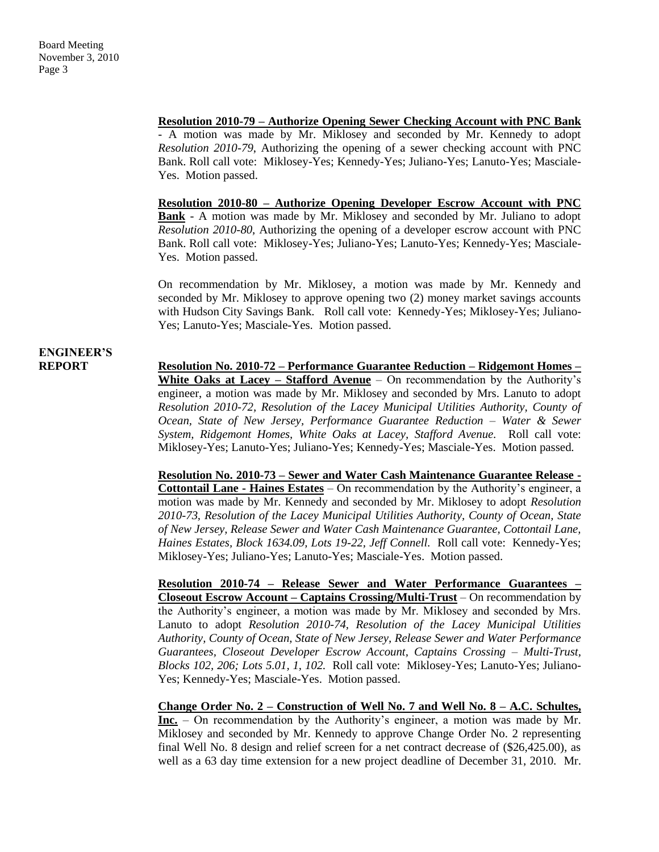#### **Resolution 2010-79 – Authorize Opening Sewer Checking Account with PNC Bank**

- A motion was made by Mr. Miklosey and seconded by Mr. Kennedy to adopt *Resolution 2010-79*, Authorizing the opening of a sewer checking account with PNC Bank. Roll call vote: Miklosey-Yes; Kennedy-Yes; Juliano-Yes; Lanuto-Yes; Masciale-Yes. Motion passed.

**Resolution 2010-80 – Authorize Opening Developer Escrow Account with PNC Bank** - A motion was made by Mr. Miklosey and seconded by Mr. Juliano to adopt *Resolution 2010-80*, Authorizing the opening of a developer escrow account with PNC Bank. Roll call vote: Miklosey-Yes; Juliano-Yes; Lanuto-Yes; Kennedy-Yes; Masciale-Yes. Motion passed.

On recommendation by Mr. Miklosey, a motion was made by Mr. Kennedy and seconded by Mr. Miklosey to approve opening two (2) money market savings accounts with Hudson City Savings Bank. Roll call vote: Kennedy-Yes; Miklosey-Yes; Juliano-Yes; Lanuto-Yes; Masciale-Yes. Motion passed.

## **ENGINEER'S**

**REPORT Resolution No. 2010-72 – Performance Guarantee Reduction – Ridgemont Homes – White Oaks at Lacey – Stafford Avenue** – On recommendation by the Authority's engineer, a motion was made by Mr. Miklosey and seconded by Mrs. Lanuto to adopt *Resolution 2010-72, Resolution of the Lacey Municipal Utilities Authority, County of Ocean, State of New Jersey, Performance Guarantee Reduction – Water & Sewer System, Ridgemont Homes, White Oaks at Lacey, Stafford Avenue.* Roll call vote: Miklosey-Yes; Lanuto-Yes; Juliano-Yes; Kennedy-Yes; Masciale-Yes. Motion passed.

> **Resolution No. 2010-73 – Sewer and Water Cash Maintenance Guarantee Release - Cottontail Lane - Haines Estates** – On recommendation by the Authority's engineer, a motion was made by Mr. Kennedy and seconded by Mr. Miklosey to adopt *Resolution 2010-73, Resolution of the Lacey Municipal Utilities Authority, County of Ocean, State of New Jersey, Release Sewer and Water Cash Maintenance Guarantee, Cottontail Lane, Haines Estates, Block 1634.09, Lots 19-22, Jeff Connell.* Roll call vote: Kennedy-Yes; Miklosey-Yes; Juliano-Yes; Lanuto-Yes; Masciale-Yes. Motion passed.

> **Resolution 2010-74 – Release Sewer and Water Performance Guarantees – Closeout Escrow Account – Captains Crossing/Multi-Trust** – On recommendation by the Authority's engineer, a motion was made by Mr. Miklosey and seconded by Mrs. Lanuto to adopt *Resolution 2010-74, Resolution of the Lacey Municipal Utilities Authority, County of Ocean, State of New Jersey, Release Sewer and Water Performance Guarantees, Closeout Developer Escrow Account, Captains Crossing – Multi-Trust, Blocks 102, 206; Lots 5.01, 1, 102.* Roll call vote: Miklosey-Yes; Lanuto-Yes; Juliano-Yes; Kennedy-Yes; Masciale-Yes. Motion passed.

> **Change Order No. 2 – Construction of Well No. 7 and Well No. 8 – A.C. Schultes, Inc.** – On recommendation by the Authority's engineer, a motion was made by Mr. Miklosey and seconded by Mr. Kennedy to approve Change Order No. 2 representing final Well No. 8 design and relief screen for a net contract decrease of (\$26,425.00), as well as a 63 day time extension for a new project deadline of December 31, 2010. Mr.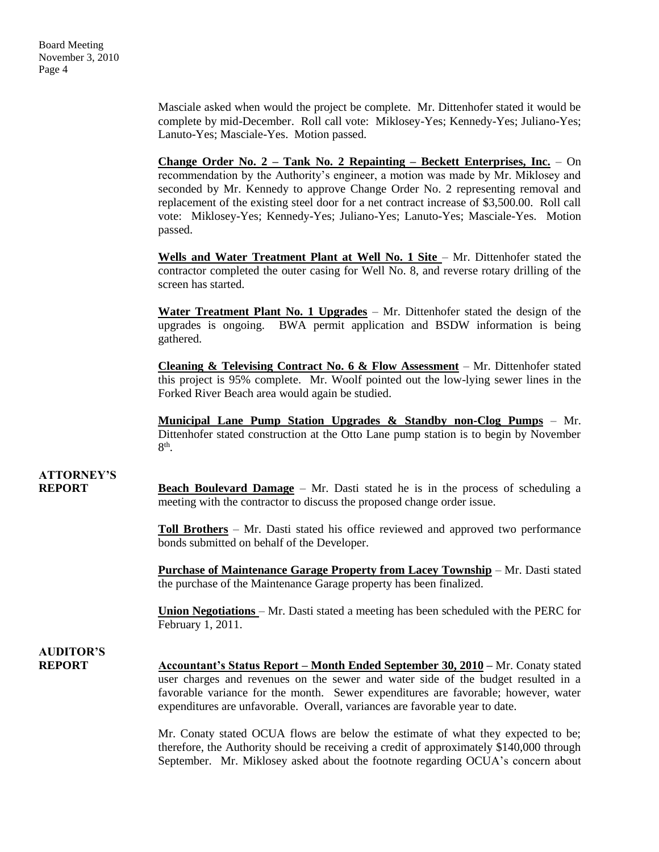Masciale asked when would the project be complete. Mr. Dittenhofer stated it would be complete by mid-December. Roll call vote: Miklosey-Yes; Kennedy-Yes; Juliano-Yes; Lanuto-Yes; Masciale-Yes. Motion passed.

**Change Order No. 2 – Tank No. 2 Repainting – Beckett Enterprises, Inc.** – On recommendation by the Authority's engineer, a motion was made by Mr. Miklosey and seconded by Mr. Kennedy to approve Change Order No. 2 representing removal and replacement of the existing steel door for a net contract increase of \$3,500.00. Roll call vote: Miklosey-Yes; Kennedy-Yes; Juliano-Yes; Lanuto-Yes; Masciale-Yes. Motion passed.

Wells and Water Treatment Plant at Well No. 1 Site – Mr. Dittenhofer stated the contractor completed the outer casing for Well No. 8, and reverse rotary drilling of the screen has started.

**Water Treatment Plant No. 1 Upgrades** – Mr. Dittenhofer stated the design of the upgrades is ongoing. BWA permit application and BSDW information is being gathered.

**Cleaning & Televising Contract No. 6 & Flow Assessment** – Mr. Dittenhofer stated this project is 95% complete. Mr. Woolf pointed out the low-lying sewer lines in the Forked River Beach area would again be studied.

**Municipal Lane Pump Station Upgrades & Standby non-Clog Pumps** – Mr. Dittenhofer stated construction at the Otto Lane pump station is to begin by November  $8<sup>th</sup>$ .

### **ATTORNEY'S**

**REPORT Beach Boulevard Damage** – Mr. Dasti stated he is in the process of scheduling a meeting with the contractor to discuss the proposed change order issue.

> **Toll Brothers** – Mr. Dasti stated his office reviewed and approved two performance bonds submitted on behalf of the Developer.

> **Purchase of Maintenance Garage Property from Lacey Township** – Mr. Dasti stated the purchase of the Maintenance Garage property has been finalized.

> **Union Negotiations** – Mr. Dasti stated a meeting has been scheduled with the PERC for February 1, 2011.

### **AUDITOR'S**

**REPORT Accountant's Status Report – Month Ended September 30, 2010 –** Mr. Conaty stated user charges and revenues on the sewer and water side of the budget resulted in a favorable variance for the month. Sewer expenditures are favorable; however, water expenditures are unfavorable. Overall, variances are favorable year to date.

> Mr. Conaty stated OCUA flows are below the estimate of what they expected to be; therefore, the Authority should be receiving a credit of approximately \$140,000 through September. Mr. Miklosey asked about the footnote regarding OCUA's concern about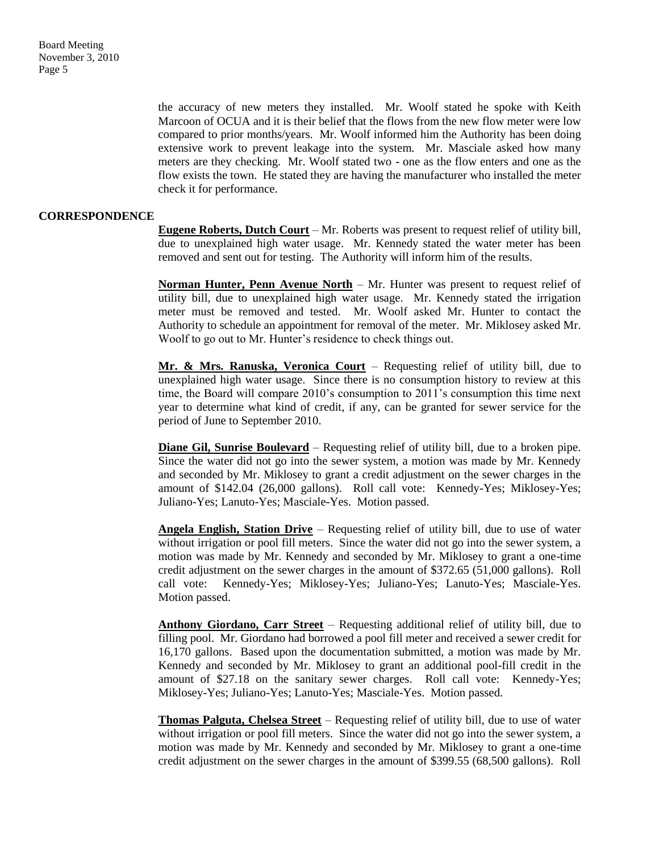> the accuracy of new meters they installed. Mr. Woolf stated he spoke with Keith Marcoon of OCUA and it is their belief that the flows from the new flow meter were low compared to prior months/years. Mr. Woolf informed him the Authority has been doing extensive work to prevent leakage into the system. Mr. Masciale asked how many meters are they checking. Mr. Woolf stated two - one as the flow enters and one as the flow exists the town. He stated they are having the manufacturer who installed the meter check it for performance.

#### **CORRESPONDENCE**

**Eugene Roberts, Dutch Court** – Mr. Roberts was present to request relief of utility bill, due to unexplained high water usage. Mr. Kennedy stated the water meter has been removed and sent out for testing. The Authority will inform him of the results.

**Norman Hunter, Penn Avenue North** – Mr. Hunter was present to request relief of utility bill, due to unexplained high water usage. Mr. Kennedy stated the irrigation meter must be removed and tested. Mr. Woolf asked Mr. Hunter to contact the Authority to schedule an appointment for removal of the meter. Mr. Miklosey asked Mr. Woolf to go out to Mr. Hunter's residence to check things out.

**Mr. & Mrs. Ranuska, Veronica Court** – Requesting relief of utility bill, due to unexplained high water usage. Since there is no consumption history to review at this time, the Board will compare 2010's consumption to 2011's consumption this time next year to determine what kind of credit, if any, can be granted for sewer service for the period of June to September 2010.

**Diane Gil, Sunrise Boulevard** – Requesting relief of utility bill, due to a broken pipe. Since the water did not go into the sewer system, a motion was made by Mr. Kennedy and seconded by Mr. Miklosey to grant a credit adjustment on the sewer charges in the amount of \$142.04 (26,000 gallons). Roll call vote: Kennedy-Yes; Miklosey-Yes; Juliano-Yes; Lanuto-Yes; Masciale-Yes. Motion passed.

**Angela English, Station Drive** – Requesting relief of utility bill, due to use of water without irrigation or pool fill meters. Since the water did not go into the sewer system, a motion was made by Mr. Kennedy and seconded by Mr. Miklosey to grant a one-time credit adjustment on the sewer charges in the amount of \$372.65 (51,000 gallons). Roll call vote: Kennedy-Yes; Miklosey-Yes; Juliano-Yes; Lanuto-Yes; Masciale-Yes. Motion passed.

**Anthony Giordano, Carr Street** – Requesting additional relief of utility bill, due to filling pool. Mr. Giordano had borrowed a pool fill meter and received a sewer credit for 16,170 gallons. Based upon the documentation submitted, a motion was made by Mr. Kennedy and seconded by Mr. Miklosey to grant an additional pool-fill credit in the amount of \$27.18 on the sanitary sewer charges. Roll call vote: Kennedy-Yes; Miklosey-Yes; Juliano-Yes; Lanuto-Yes; Masciale-Yes. Motion passed.

**Thomas Palguta, Chelsea Street** – Requesting relief of utility bill, due to use of water without irrigation or pool fill meters. Since the water did not go into the sewer system, a motion was made by Mr. Kennedy and seconded by Mr. Miklosey to grant a one-time credit adjustment on the sewer charges in the amount of \$399.55 (68,500 gallons). Roll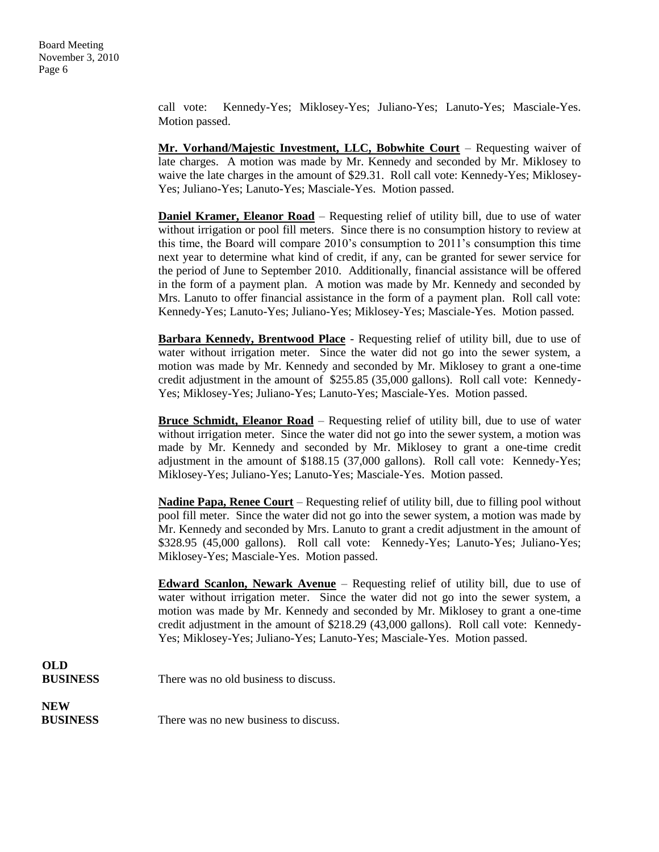> call vote: Kennedy-Yes; Miklosey-Yes; Juliano-Yes; Lanuto-Yes; Masciale-Yes. Motion passed.

> **Mr. Vorhand/Majestic Investment, LLC, Bobwhite Court** – Requesting waiver of late charges. A motion was made by Mr. Kennedy and seconded by Mr. Miklosey to waive the late charges in the amount of \$29.31. Roll call vote: Kennedy-Yes; Miklosey-Yes; Juliano-Yes; Lanuto-Yes; Masciale-Yes. Motion passed.

> **Daniel Kramer, Eleanor Road** – Requesting relief of utility bill, due to use of water without irrigation or pool fill meters. Since there is no consumption history to review at this time, the Board will compare 2010's consumption to 2011's consumption this time next year to determine what kind of credit, if any, can be granted for sewer service for the period of June to September 2010. Additionally, financial assistance will be offered in the form of a payment plan. A motion was made by Mr. Kennedy and seconded by Mrs. Lanuto to offer financial assistance in the form of a payment plan. Roll call vote: Kennedy-Yes; Lanuto-Yes; Juliano-Yes; Miklosey-Yes; Masciale-Yes. Motion passed.

> **Barbara Kennedy, Brentwood Place** - Requesting relief of utility bill, due to use of water without irrigation meter. Since the water did not go into the sewer system, a motion was made by Mr. Kennedy and seconded by Mr. Miklosey to grant a one-time credit adjustment in the amount of \$255.85 (35,000 gallons). Roll call vote: Kennedy-Yes; Miklosey-Yes; Juliano-Yes; Lanuto-Yes; Masciale-Yes. Motion passed.

> **Bruce Schmidt, Eleanor Road** – Requesting relief of utility bill, due to use of water without irrigation meter. Since the water did not go into the sewer system, a motion was made by Mr. Kennedy and seconded by Mr. Miklosey to grant a one-time credit adjustment in the amount of \$188.15 (37,000 gallons). Roll call vote: Kennedy-Yes; Miklosey-Yes; Juliano-Yes; Lanuto-Yes; Masciale-Yes. Motion passed.

> **Nadine Papa, Renee Court** – Requesting relief of utility bill, due to filling pool without pool fill meter. Since the water did not go into the sewer system, a motion was made by Mr. Kennedy and seconded by Mrs. Lanuto to grant a credit adjustment in the amount of \$328.95 (45,000 gallons). Roll call vote: Kennedy-Yes; Lanuto-Yes; Juliano-Yes; Miklosey-Yes; Masciale-Yes. Motion passed.

> **Edward Scanlon, Newark Avenue** – Requesting relief of utility bill, due to use of water without irrigation meter. Since the water did not go into the sewer system, a motion was made by Mr. Kennedy and seconded by Mr. Miklosey to grant a one-time credit adjustment in the amount of \$218.29 (43,000 gallons). Roll call vote: Kennedy-Yes; Miklosey-Yes; Juliano-Yes; Lanuto-Yes; Masciale-Yes. Motion passed.

| OLD             |                                       |
|-----------------|---------------------------------------|
| <b>BUSINESS</b> | There was no old business to discuss. |

**NEW**

**BUSINESS** There was no new business to discuss.